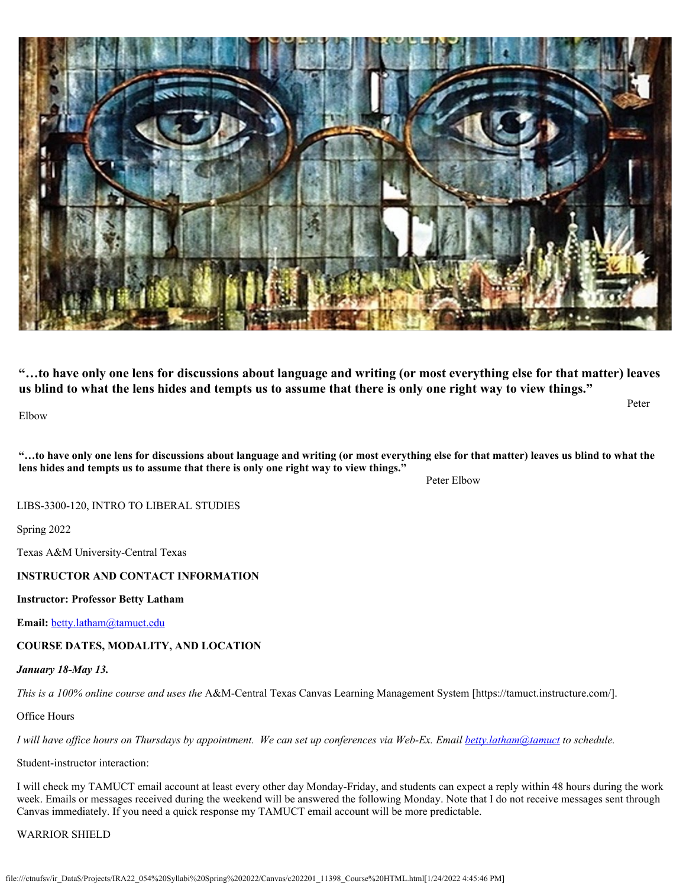

**"…to have only one lens for discussions about language and writing (or most everything else for that matter) leaves us blind to what the lens hides and tempts us to assume that there is only one right way to view things."**

Elbow

**"…to have only one lens for discussions about language and writing (or most everything else for that matter) leaves us blind to what the lens hides and tempts us to assume that there is only one right way to view things."** 

Peter Elbow

Peter

LIBS-3300-120, INTRO TO LIBERAL STUDIES

Spring 2022

Texas A&M University-Central Texas

# **INSTRUCTOR AND CONTACT INFORMATION**

### **Instructor: Professor Betty Latham**

**Email:** [betty.latham@tamuct.edu](mailto:betty.latham@tamuct.edu)

**COURSE DATES, MODALITY, AND LOCATION**

# *January 18-May 13.*

*This is a 100% online course and uses the* A&M-Central Texas Canvas Learning Management System [https://tamuct.instructure.com/].

Office Hours

*I will have office hours on Thursdays by appointment. We can set up conferences via Web-Ex. Email [betty.latham@tamuct](mailto:betty.latham@tamuct) to schedule.*

Student-instructor interaction:

I will check my TAMUCT email account at least every other day Monday-Friday, and students can expect a reply within 48 hours during the work week. Emails or messages received during the weekend will be answered the following Monday. Note that I do not receive messages sent through Canvas immediately. If you need a quick response my TAMUCT email account will be more predictable.

# WARRIOR SHIELD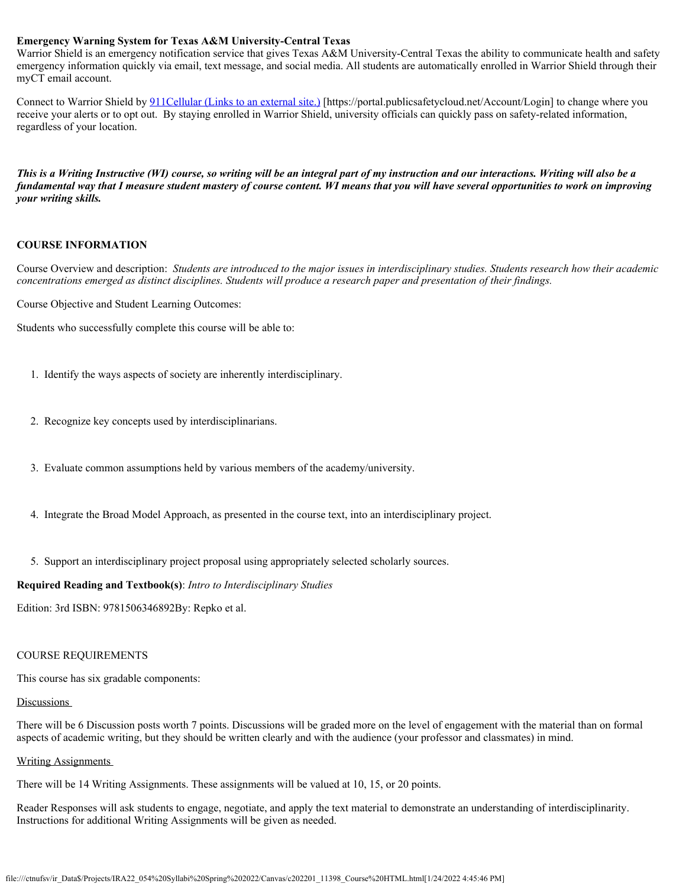### **Emergency Warning System for Texas A&M University-Central Texas**

Warrior Shield is an emergency notification service that gives Texas A&M University-Central Texas the ability to communicate health and safety emergency information quickly via email, text message, and social media. All students are automatically enrolled in Warrior Shield through their myCT email account.

Connect to Warrior Shield by 911Cellular [\(Links to an external site.\)](https://portal.publicsafetycloud.net/Texas-AM-Central/alert-management) [https://portal.publicsafetycloud.net/Account/Login] to change where you receive your alerts or to opt out. By staying enrolled in Warrior Shield, university officials can quickly pass on safety-related information, regardless of your location.

*This is a Writing Instructive (WI) course, so writing will be an integral part of my instruction and our interactions. Writing will also be a fundamental way that I measure student mastery of course content. WI means that you will have several opportunities to work on improving your writing skills.*

#### **COURSE INFORMATION**

Course Overview and description: *Students are introduced to the major issues in interdisciplinary studies. Students research how their academic concentrations emerged as distinct disciplines. Students will produce a research paper and presentation of their findings.*

Course Objective and Student Learning Outcomes:

Students who successfully complete this course will be able to:

- 1. Identify the ways aspects of society are inherently interdisciplinary.
- 2. Recognize key concepts used by interdisciplinarians.
- 3. Evaluate common assumptions held by various members of the academy/university.
- 4. Integrate the Broad Model Approach, as presented in the course text, into an interdisciplinary project.
- 5. Support an interdisciplinary project proposal using appropriately selected scholarly sources.

### **Required Reading and Textbook(s)**: *Intro to Interdisciplinary Studies*

Edition: 3rd ISBN: 9781506346892By: Repko et al.

### COURSE REQUIREMENTS

This course has six gradable components:

### Discussions

There will be 6 Discussion posts worth 7 points. Discussions will be graded more on the level of engagement with the material than on formal aspects of academic writing, but they should be written clearly and with the audience (your professor and classmates) in mind.

### Writing Assignments

There will be 14 Writing Assignments. These assignments will be valued at 10, 15, or 20 points.

Reader Responses will ask students to engage, negotiate, and apply the text material to demonstrate an understanding of interdisciplinarity. Instructions for additional Writing Assignments will be given as needed.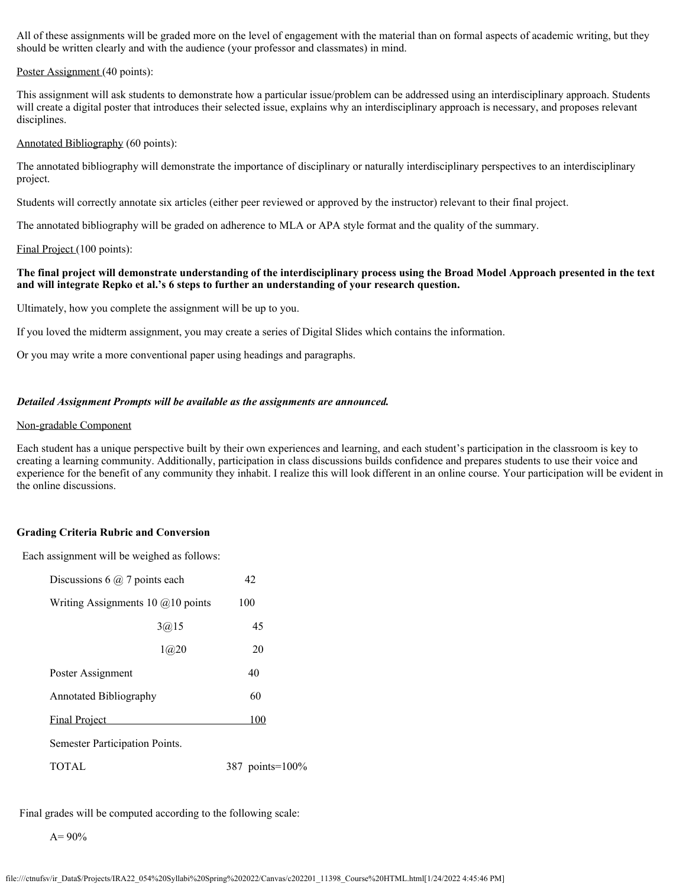All of these assignments will be graded more on the level of engagement with the material than on formal aspects of academic writing, but they should be written clearly and with the audience (your professor and classmates) in mind.

#### Poster Assignment (40 points):

This assignment will ask students to demonstrate how a particular issue/problem can be addressed using an interdisciplinary approach. Students will create a digital poster that introduces their selected issue, explains why an interdisciplinary approach is necessary, and proposes relevant disciplines.

#### Annotated Bibliography (60 points):

The annotated bibliography will demonstrate the importance of disciplinary or naturally interdisciplinary perspectives to an interdisciplinary project.

Students will correctly annotate six articles (either peer reviewed or approved by the instructor) relevant to their final project.

The annotated bibliography will be graded on adherence to MLA or APA style format and the quality of the summary.

#### Final Project (100 points):

### **The final project will demonstrate understanding of the interdisciplinary process using the Broad Model Approach presented in the text and will integrate Repko et al.'s 6 steps to further an understanding of your research question.**

Ultimately, how you complete the assignment will be up to you.

If you loved the midterm assignment, you may create a series of Digital Slides which contains the information.

Or you may write a more conventional paper using headings and paragraphs.

#### *Detailed Assignment Prompts will be available as the assignments are announced.*

#### Non-gradable Component

Each student has a unique perspective built by their own experiences and learning, and each student's participation in the classroom is key to creating a learning community. Additionally, participation in class discussions builds confidence and prepares students to use their voice and experience for the benefit of any community they inhabit. I realize this will look different in an online course. Your participation will be evident in the online discussions.

### **Grading Criteria Rubric and Conversion**

Each assignment will be weighed as follows:

| Discussions 6 $\omega$ 7 points each |        | 42              |
|--------------------------------------|--------|-----------------|
| Writing Assignments 10 $@10$ points  |        | 100             |
|                                      | 3(a)15 | 45              |
|                                      | 1@20   | 20              |
| Poster Assignment                    |        | 40              |
| <b>Annotated Bibliography</b>        |        | 60              |
| <b>Final Project</b>                 |        | 100             |
| Semester Participation Points.       |        |                 |
| <b>TOTAL</b>                         |        | 387 points=100% |

Final grades will be computed according to the following scale:

 $A= 90%$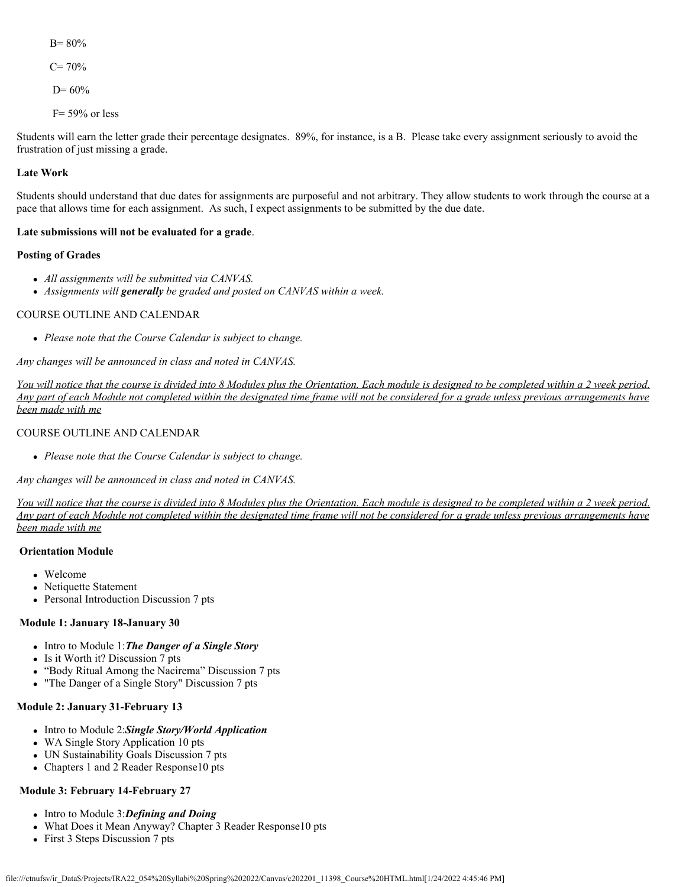B= 80%  $C= 70%$  $D= 60%$ 

 $F= 59\%$  or less

Students will earn the letter grade their percentage designates. 89%, for instance, is a B. Please take every assignment seriously to avoid the frustration of just missing a grade.

# **Late Work**

Students should understand that due dates for assignments are purposeful and not arbitrary. They allow students to work through the course at a pace that allows time for each assignment. As such, I expect assignments to be submitted by the due date.

# **Late submissions will not be evaluated for a grade**.

# **Posting of Grades**

- *All assignments will be submitted via CANVAS.*
- *Assignments will generally be graded and posted on CANVAS within a week.*

# COURSE OUTLINE AND CALENDAR

*Please note that the Course Calendar is subject to change.*

*Any changes will be announced in class and noted in CANVAS.*

*You will notice that the course is divided into 8 Modules plus the Orientation. Each module is designed to be completed within a 2 week period. Any part of each Module not completed within the designated time frame will not be considered for a grade unless previous arrangements have been made with me*

# COURSE OUTLINE AND CALENDAR

*Please note that the Course Calendar is subject to change.*

*Any changes will be announced in class and noted in CANVAS.*

*You will notice that the course is divided into 8 Modules plus the Orientation. Each module is designed to be completed within a 2 week period. Any part of each Module not completed within the designated time frame will not be considered for a grade unless previous arrangements have been made with me*

# **Orientation Module**

- Welcome
- Netiquette Statement
- Personal Introduction Discussion 7 pts

### **Module 1: January 18-January 30**

- Intro to Module 1: The Danger of a Single Story
- Is it Worth it? Discussion 7 pts
- "Body Ritual Among the Nacirema" Discussion 7 pts
- "The Danger of a Single Story" Discussion 7 pts

# **Module 2: January 31-February 13**

- Intro to Module 2:Single Story/World Application
- WA Single Story Application 10 pts
- UN Sustainability Goals Discussion 7 pts
- Chapters 1 and 2 Reader Response10 pts

# **Module 3: February 14-February 27**

- Intro to Module 3:**Defining and Doing**
- What Does it Mean Anyway? Chapter 3 Reader Response10 pts
- First 3 Steps Discussion 7 pts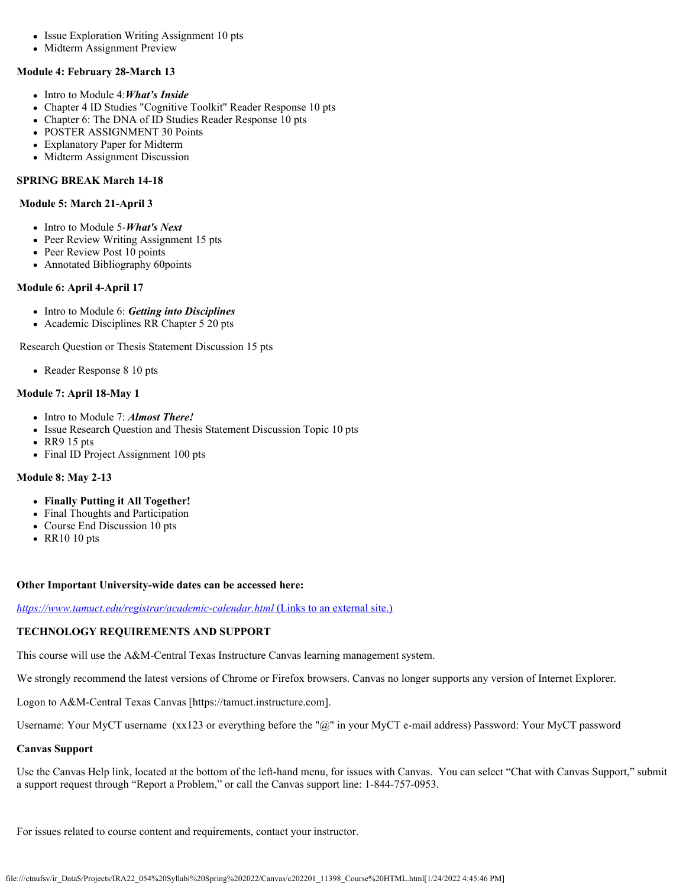- Issue Exploration Writing Assignment 10 pts
- Midterm Assignment Preview

### **Module 4: February 28-March 13**

- Intro to Module 4:*What's Inside*
- Chapter 4 ID Studies "Cognitive Toolkit" Reader Response 10 pts
- Chapter 6: The DNA of ID Studies Reader Response 10 pts
- POSTER ASSIGNMENT 30 Points
- Explanatory Paper for Midterm
- Midterm Assignment Discussion

# **SPRING BREAK March 14-18**

### **Module 5: March 21-April 3**

- Intro to Module 5-*What's Next*
- Peer Review Writing Assignment 15 pts
- Peer Review Post 10 points
- Annotated Bibliography 60points

# **Module 6: April 4-April 17**

- Intro to Module 6: *Getting into Disciplines*
- Academic Disciplines RR Chapter 5 20 pts

Research Question or Thesis Statement Discussion 15 pts

• Reader Response 8 10 pts

# **Module 7: April 18-May 1**

- Intro to Module 7: **Almost There!**
- Issue Research Question and Thesis Statement Discussion Topic 10 pts
- RR9 15 pts
- Final ID Project Assignment 100 pts

# **Module 8: May 2-13**

- **Finally Putting it All Together!**
- Final Thoughts and Participation
- Course End Discussion 10 pts
- RR10 10 pts

### **Other Important University-wide dates can be accessed here:**

*<https://www.tamuct.edu/registrar/academic-calendar.html>* [\(Links to an external site.\)](https://www.tamuct.edu/registrar/academic-calendar.html)

# **TECHNOLOGY REQUIREMENTS AND SUPPORT**

This course will use the A&M-Central Texas Instructure Canvas learning management system.

We strongly recommend the latest versions of Chrome or Firefox browsers. Canvas no longer supports any version of Internet Explorer.

Logon to A&M-Central Texas Canvas [https://tamuct.instructure.com].

Username: Your MyCT username (xx123 or everything before the "@" in your MyCT e-mail address) Password: Your MyCT password

### **Canvas Support**

Use the Canvas Help link, located at the bottom of the left-hand menu, for issues with Canvas. You can select "Chat with Canvas Support," submit a support request through "Report a Problem," or call the Canvas support line: 1-844-757-0953.

For issues related to course content and requirements, contact your instructor.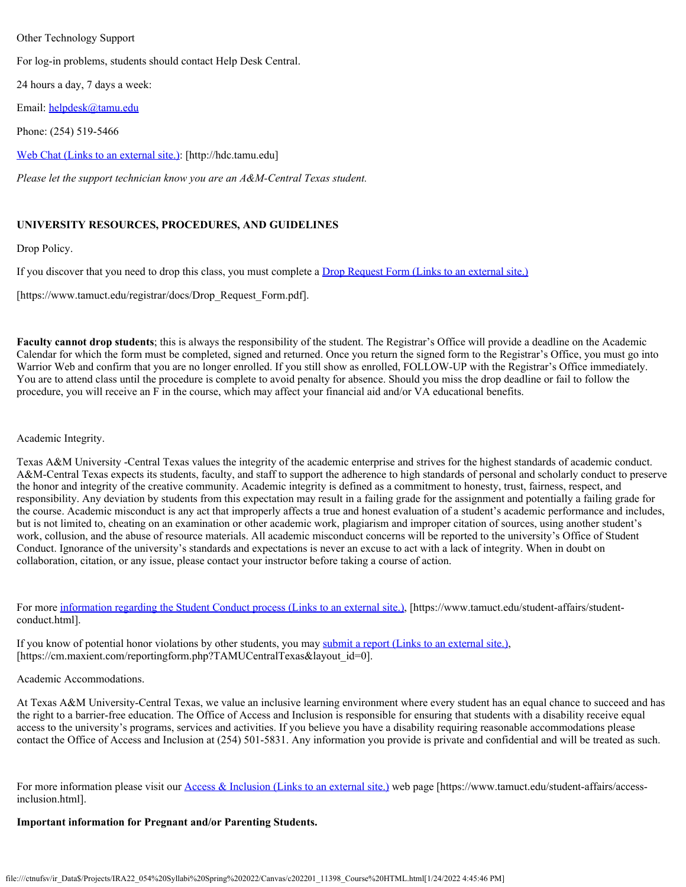### Other Technology Support

For log-in problems, students should contact Help Desk Central.

24 hours a day, 7 days a week:

Email: [helpdesk@tamu.edu](mailto:helpdesk@tamu.edu)

Phone: (254) 519-5466

Web Chat [\(Links to an external site.\)](http://hdc.tamu.edu/): [http://hdc.tamu.edu]

*Please let the support technician know you are an A&M-Central Texas student.*

# **UNIVERSITY RESOURCES, PROCEDURES, AND GUIDELINES**

Drop Policy.

If you discover that you need to drop this class, you must complete a Drop Request Form [\(Links to an external site.\)](https://www.tamuct.edu/registrar/docs/Drop_Request_Form.pdf)

[https://www.tamuct.edu/registrar/docs/Drop\_Request\_Form.pdf].

**Faculty cannot drop students**; this is always the responsibility of the student. The Registrar's Office will provide a deadline on the Academic Calendar for which the form must be completed, signed and returned. Once you return the signed form to the Registrar's Office, you must go into Warrior Web and confirm that you are no longer enrolled. If you still show as enrolled, FOLLOW-UP with the Registrar's Office immediately. You are to attend class until the procedure is complete to avoid penalty for absence. Should you miss the drop deadline or fail to follow the procedure, you will receive an F in the course, which may affect your financial aid and/or VA educational benefits.

# Academic Integrity.

Texas A&M University -Central Texas values the integrity of the academic enterprise and strives for the highest standards of academic conduct. A&M-Central Texas expects its students, faculty, and staff to support the adherence to high standards of personal and scholarly conduct to preserve the honor and integrity of the creative community. Academic integrity is defined as a commitment to honesty, trust, fairness, respect, and responsibility. Any deviation by students from this expectation may result in a failing grade for the assignment and potentially a failing grade for the course. Academic misconduct is any act that improperly affects a true and honest evaluation of a student's academic performance and includes, but is not limited to, cheating on an examination or other academic work, plagiarism and improper citation of sources, using another student's work, collusion, and the abuse of resource materials. All academic misconduct concerns will be reported to the university's Office of Student Conduct. Ignorance of the university's standards and expectations is never an excuse to act with a lack of integrity. When in doubt on collaboration, citation, or any issue, please contact your instructor before taking a course of action.

For more [information regarding the Student Conduct process](https://www.tamuct.edu/student-affairs/student-conduct.html) (Links to an external site.), [https://www.tamuct.edu/student-affairs/studentconduct.html].

If you know of potential honor violations by other students, you may submit a report [\(Links to an external site.\)](https://cm.maxient.com/reportingform.php?TAMUCentralTexas&layout_id=0), [https://cm.maxient.com/reportingform.php?TAMUCentralTexas&layout\_id=0].

### Academic Accommodations.

At Texas A&M University-Central Texas, we value an inclusive learning environment where every student has an equal chance to succeed and has the right to a barrier-free education. The Office of Access and Inclusion is responsible for ensuring that students with a disability receive equal access to the university's programs, services and activities. If you believe you have a disability requiring reasonable accommodations please contact the Office of Access and Inclusion at (254) 501-5831. Any information you provide is private and confidential and will be treated as such.

For more information please visit our Access & Inclusion [\(Links to an external site.\)](https://www.tamuct.edu/student-affairs/access-inclusion.html) web page [https://www.tamuct.edu/student-affairs/accessinclusion.html].

### **Important information for Pregnant and/or Parenting Students.**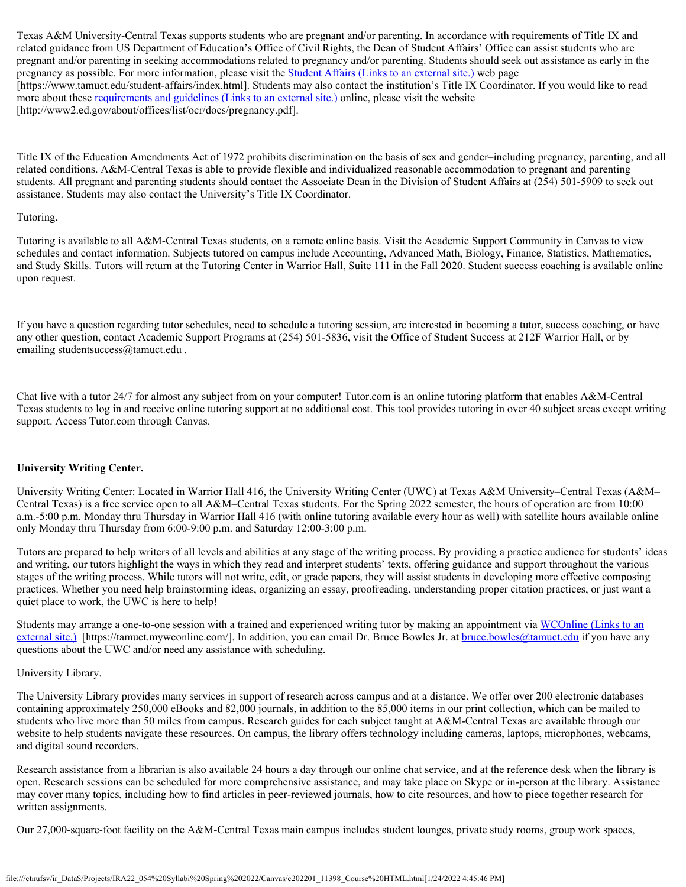Texas A&M University-Central Texas supports students who are pregnant and/or parenting. In accordance with requirements of Title IX and related guidance from US Department of Education's Office of Civil Rights, the Dean of Student Affairs' Office can assist students who are pregnant and/or parenting in seeking accommodations related to pregnancy and/or parenting. Students should seek out assistance as early in the pregnancy as possible. For more information, please visit the **Student Affairs [\(Links to an external site.\)](https://www.tamuct.edu/student-affairs/index.html)** web page [https://www.tamuct.edu/student-affairs/index.html]. Students may also contact the institution's Title IX Coordinator. If you would like to read more about these [requirements and guidelines](http://www2.ed.gov/about/offices/list/ocr/docs/pregnancy.pdf) (Links to an external site.) online, please visit the website [http://www2.ed.gov/about/offices/list/ocr/docs/pregnancy.pdf].

Title IX of the Education Amendments Act of 1972 prohibits discrimination on the basis of sex and gender–including pregnancy, parenting, and all related conditions. A&M-Central Texas is able to provide flexible and individualized reasonable accommodation to pregnant and parenting students. All pregnant and parenting students should contact the Associate Dean in the Division of Student Affairs at (254) 501-5909 to seek out assistance. Students may also contact the University's Title IX Coordinator.

### Tutoring.

Tutoring is available to all A&M-Central Texas students, on a remote online basis. Visit the Academic Support Community in Canvas to view schedules and contact information. Subjects tutored on campus include Accounting, Advanced Math, Biology, Finance, Statistics, Mathematics, and Study Skills. Tutors will return at the Tutoring Center in Warrior Hall, Suite 111 in the Fall 2020. Student success coaching is available online upon request.

If you have a question regarding tutor schedules, need to schedule a tutoring session, are interested in becoming a tutor, success coaching, or have any other question, contact Academic Support Programs at (254) 501-5836, visit the Office of Student Success at 212F Warrior Hall, or by emailing studentsuccess@tamuct.edu .

Chat live with a tutor 24/7 for almost any subject from on your computer! Tutor.com is an online tutoring platform that enables A&M-Central Texas students to log in and receive online tutoring support at no additional cost. This tool provides tutoring in over 40 subject areas except writing support. Access Tutor.com through Canvas.

# **University Writing Center.**

University Writing Center: Located in Warrior Hall 416, the University Writing Center (UWC) at Texas A&M University–Central Texas (A&M– Central Texas) is a free service open to all A&M–Central Texas students. For the Spring 2022 semester, the hours of operation are from 10:00 a.m.-5:00 p.m. Monday thru Thursday in Warrior Hall 416 (with online tutoring available every hour as well) with satellite hours available online only Monday thru Thursday from 6:00-9:00 p.m. and Saturday 12:00-3:00 p.m.

Tutors are prepared to help writers of all levels and abilities at any stage of the writing process. By providing a practice audience for students' ideas and writing, our tutors highlight the ways in which they read and interpret students' texts, offering guidance and support throughout the various stages of the writing process. While tutors will not write, edit, or grade papers, they will assist students in developing more effective composing practices. Whether you need help brainstorming ideas, organizing an essay, proofreading, understanding proper citation practices, or just want a quiet place to work, the UWC is here to help!

Students may arrange a one-to-one session with a trained and experienced writing tutor by making an appointment via WCOnline [\(Links to an](https://tamuct.mywconline.com/) [external site.\)](https://tamuct.mywconline.com/) [https://tamuct.mywconline.com/]. In addition, you can email Dr. Bruce Bowles Jr. at [bruce.bowles@tamuct.edu](mailto:bruce.bowles@tamuct.edu) if you have any questions about the UWC and/or need any assistance with scheduling.

### University Library.

The University Library provides many services in support of research across campus and at a distance. We offer over 200 electronic databases containing approximately 250,000 eBooks and 82,000 journals, in addition to the 85,000 items in our print collection, which can be mailed to students who live more than 50 miles from campus. Research guides for each subject taught at A&M-Central Texas are available through our website to help students navigate these resources. On campus, the library offers technology including cameras, laptops, microphones, webcams, and digital sound recorders.

Research assistance from a librarian is also available 24 hours a day through our online chat service, and at the reference desk when the library is open. Research sessions can be scheduled for more comprehensive assistance, and may take place on Skype or in-person at the library. Assistance may cover many topics, including how to find articles in peer-reviewed journals, how to cite resources, and how to piece together research for written assignments.

Our 27,000-square-foot facility on the A&M-Central Texas main campus includes student lounges, private study rooms, group work spaces,